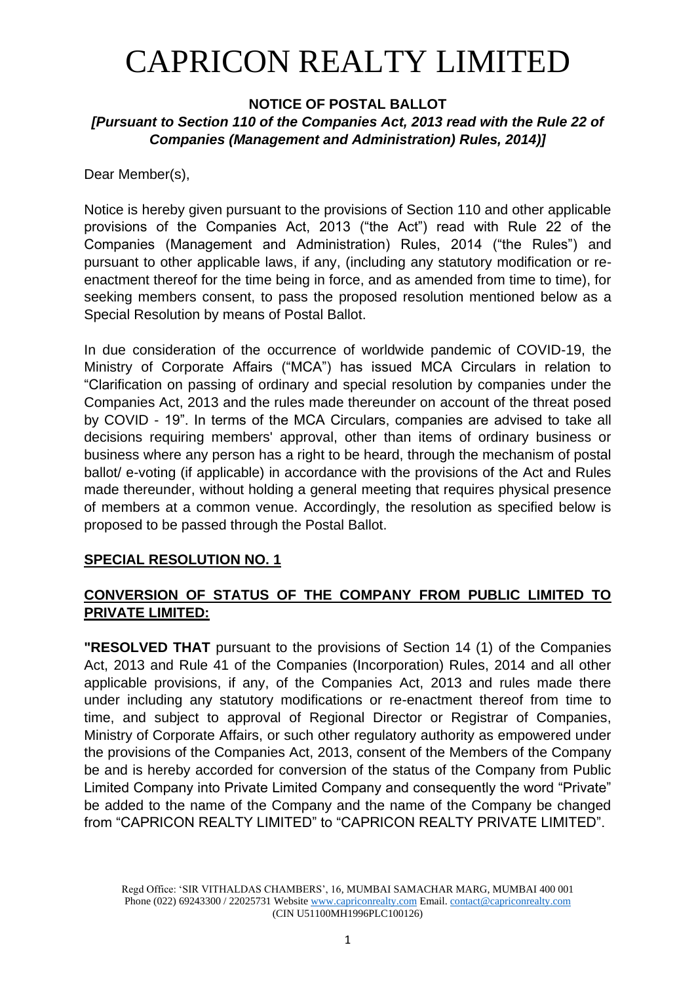#### **NOTICE OF POSTAL BALLOT** *[Pursuant to Section 110 of the Companies Act, 2013 read with the Rule 22 of Companies (Management and Administration) Rules, 2014)]*

Dear Member(s),

Notice is hereby given pursuant to the provisions of Section 110 and other applicable provisions of the Companies Act, 2013 ("the Act") read with Rule 22 of the Companies (Management and Administration) Rules, 2014 ("the Rules") and pursuant to other applicable laws, if any, (including any statutory modification or reenactment thereof for the time being in force, and as amended from time to time), for seeking members consent, to pass the proposed resolution mentioned below as a Special Resolution by means of Postal Ballot.

In due consideration of the occurrence of worldwide pandemic of COVID-19, the Ministry of Corporate Affairs ("MCA") has issued MCA Circulars in relation to "Clarification on passing of ordinary and special resolution by companies under the Companies Act, 2013 and the rules made thereunder on account of the threat posed by COVID - 19". In terms of the MCA Circulars, companies are advised to take all decisions requiring members' approval, other than items of ordinary business or business where any person has a right to be heard, through the mechanism of postal ballot/ e-voting (if applicable) in accordance with the provisions of the Act and Rules made thereunder, without holding a general meeting that requires physical presence of members at a common venue. Accordingly, the resolution as specified below is proposed to be passed through the Postal Ballot.

### **SPECIAL RESOLUTION NO. 1**

### **CONVERSION OF STATUS OF THE COMPANY FROM PUBLIC LIMITED TO PRIVATE LIMITED:**

**"RESOLVED THAT** pursuant to the provisions of Section 14 (1) of the Companies Act, 2013 and Rule 41 of the Companies (Incorporation) Rules, 2014 and all other applicable provisions, if any, of the Companies Act, 2013 and rules made there under including any statutory modifications or re-enactment thereof from time to time, and subject to approval of Regional Director or Registrar of Companies, Ministry of Corporate Affairs, or such other regulatory authority as empowered under the provisions of the Companies Act, 2013, consent of the Members of the Company be and is hereby accorded for conversion of the status of the Company from Public Limited Company into Private Limited Company and consequently the word "Private" be added to the name of the Company and the name of the Company be changed from "CAPRICON REALTY LIMITED" to "CAPRICON REALTY PRIVATE LIMITED".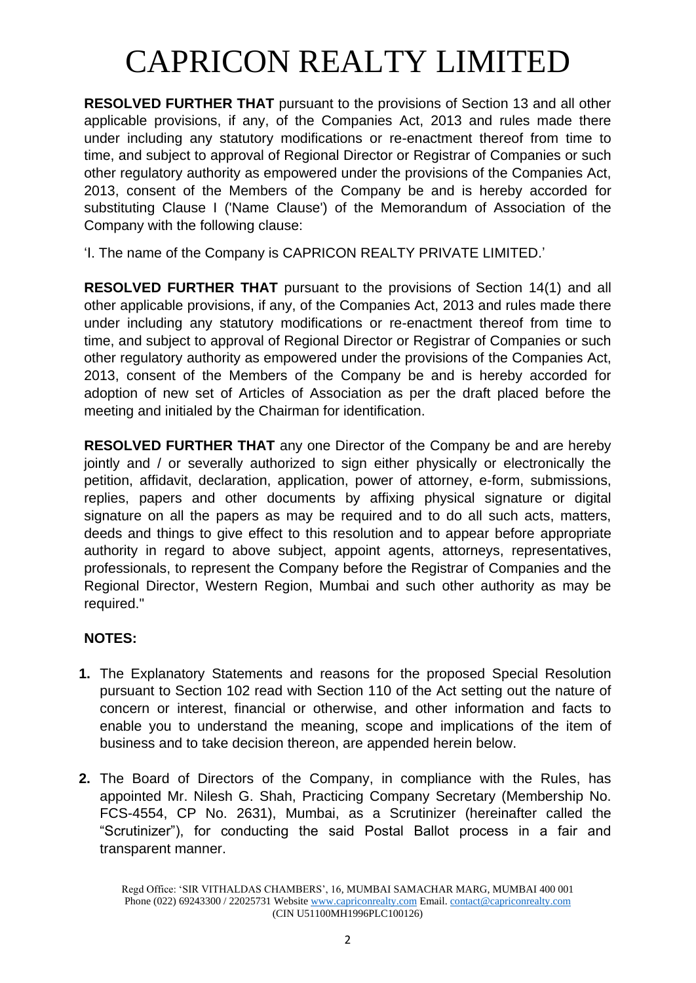**RESOLVED FURTHER THAT** pursuant to the provisions of Section 13 and all other applicable provisions, if any, of the Companies Act, 2013 and rules made there under including any statutory modifications or re-enactment thereof from time to time, and subject to approval of Regional Director or Registrar of Companies or such other regulatory authority as empowered under the provisions of the Companies Act, 2013, consent of the Members of the Company be and is hereby accorded for substituting Clause I ('Name Clause') of the Memorandum of Association of the Company with the following clause:

"I. The name of the Company is CAPRICON REALTY PRIVATE LIMITED."

**RESOLVED FURTHER THAT** pursuant to the provisions of Section 14(1) and all other applicable provisions, if any, of the Companies Act, 2013 and rules made there under including any statutory modifications or re-enactment thereof from time to time, and subject to approval of Regional Director or Registrar of Companies or such other regulatory authority as empowered under the provisions of the Companies Act, 2013, consent of the Members of the Company be and is hereby accorded for adoption of new set of Articles of Association as per the draft placed before the meeting and initialed by the Chairman for identification.

**RESOLVED FURTHER THAT** any one Director of the Company be and are hereby jointly and / or severally authorized to sign either physically or electronically the petition, affidavit, declaration, application, power of attorney, e-form, submissions, replies, papers and other documents by affixing physical signature or digital signature on all the papers as may be required and to do all such acts, matters, deeds and things to give effect to this resolution and to appear before appropriate authority in regard to above subject, appoint agents, attorneys, representatives, professionals, to represent the Company before the Registrar of Companies and the Regional Director, Western Region, Mumbai and such other authority as may be required."

### **NOTES:**

- **1.** The Explanatory Statements and reasons for the proposed Special Resolution pursuant to Section 102 read with Section 110 of the Act setting out the nature of concern or interest, financial or otherwise, and other information and facts to enable you to understand the meaning, scope and implications of the item of business and to take decision thereon, are appended herein below.
- **2.** The Board of Directors of the Company, in compliance with the Rules, has appointed Mr. Nilesh G. Shah, Practicing Company Secretary (Membership No. FCS-4554, CP No. 2631), Mumbai, as a Scrutinizer (hereinafter called the "Scrutinizer"), for conducting the said Postal Ballot process in a fair and transparent manner.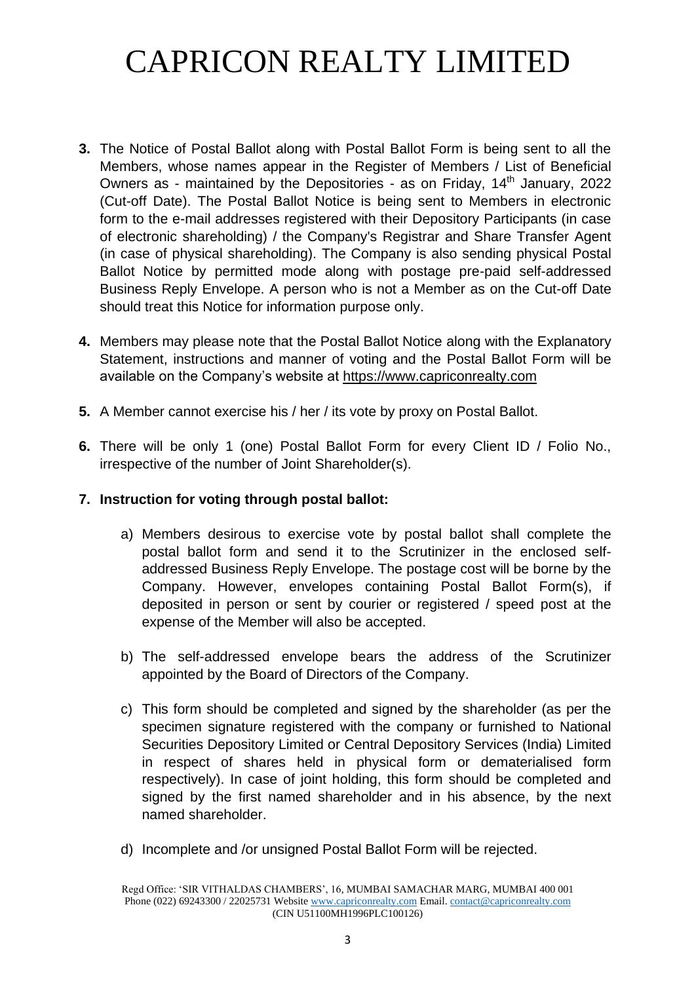- **3.** The Notice of Postal Ballot along with Postal Ballot Form is being sent to all the Members, whose names appear in the Register of Members / List of Beneficial Owners as - maintained by the Depositories - as on Friday, 14<sup>th</sup> January, 2022 (Cut-off Date). The Postal Ballot Notice is being sent to Members in electronic form to the e-mail addresses registered with their Depository Participants (in case of electronic shareholding) / the Company's Registrar and Share Transfer Agent (in case of physical shareholding). The Company is also sending physical Postal Ballot Notice by permitted mode along with postage pre-paid self-addressed Business Reply Envelope. A person who is not a Member as on the Cut-off Date should treat this Notice for information purpose only.
- **4.** Members may please note that the Postal Ballot Notice along with the Explanatory Statement, instructions and manner of voting and the Postal Ballot Form will be available on the Company"s website at [https://www.capriconrealty.com](https://www.capriconrealty.com/)
- **5.** A Member cannot exercise his / her / its vote by proxy on Postal Ballot.
- **6.** There will be only 1 (one) Postal Ballot Form for every Client ID / Folio No., irrespective of the number of Joint Shareholder(s).

#### **7. Instruction for voting through postal ballot:**

- a) Members desirous to exercise vote by postal ballot shall complete the postal ballot form and send it to the Scrutinizer in the enclosed selfaddressed Business Reply Envelope. The postage cost will be borne by the Company. However, envelopes containing Postal Ballot Form(s), if deposited in person or sent by courier or registered / speed post at the expense of the Member will also be accepted.
- b) The self-addressed envelope bears the address of the Scrutinizer appointed by the Board of Directors of the Company.
- c) This form should be completed and signed by the shareholder (as per the specimen signature registered with the company or furnished to National Securities Depository Limited or Central Depository Services (India) Limited in respect of shares held in physical form or dematerialised form respectively). In case of joint holding, this form should be completed and signed by the first named shareholder and in his absence, by the next named shareholder.
- d) Incomplete and /or unsigned Postal Ballot Form will be rejected.

Regd Office: 'SIR VITHALDAS CHAMBERS', 16, MUMBAI SAMACHAR MARG, MUMBAI 400 001 Phone (022) 69243300 / 22025731 Website www.capriconrealty.com Email. contact@capriconrealty.com (CIN U51100MH1996PLC100126)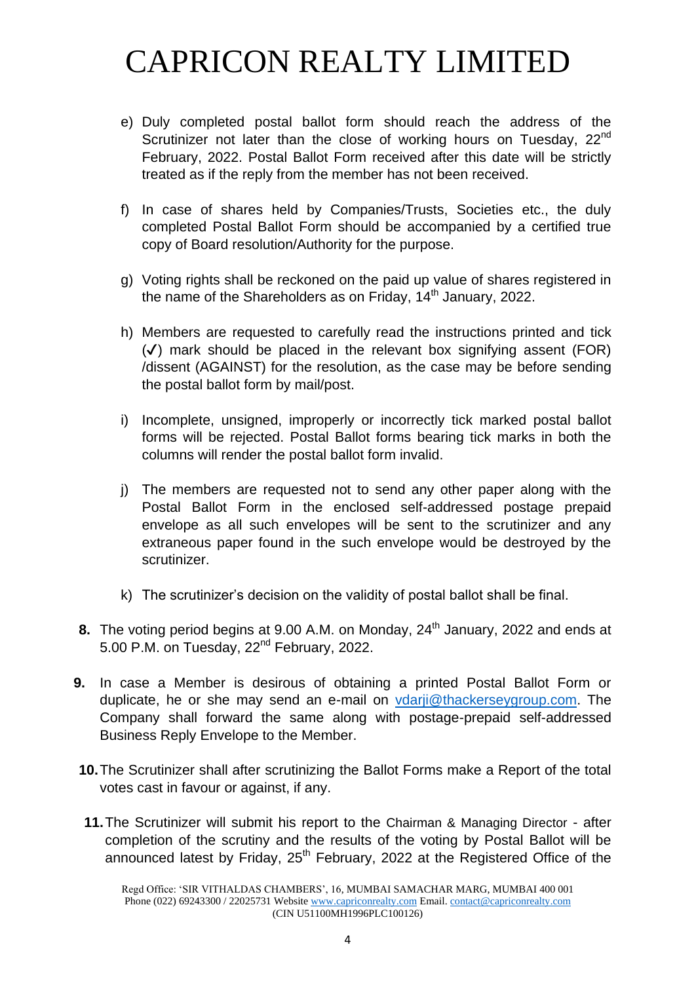- e) Duly completed postal ballot form should reach the address of the Scrutinizer not later than the close of working hours on Tuesday, 22<sup>nd</sup> February, 2022. Postal Ballot Form received after this date will be strictly treated as if the reply from the member has not been received.
- f) In case of shares held by Companies/Trusts, Societies etc., the duly completed Postal Ballot Form should be accompanied by a certified true copy of Board resolution/Authority for the purpose.
- g) Voting rights shall be reckoned on the paid up value of shares registered in the name of the Shareholders as on Friday,  $14<sup>th</sup>$  January, 2022.
- h) Members are requested to carefully read the instructions printed and tick  $(\checkmark)$  mark should be placed in the relevant box signifying assent (FOR) /dissent (AGAINST) for the resolution, as the case may be before sending the postal ballot form by mail/post.
- i) Incomplete, unsigned, improperly or incorrectly tick marked postal ballot forms will be rejected. Postal Ballot forms bearing tick marks in both the columns will render the postal ballot form invalid.
- j) The members are requested not to send any other paper along with the Postal Ballot Form in the enclosed self-addressed postage prepaid envelope as all such envelopes will be sent to the scrutinizer and any extraneous paper found in the such envelope would be destroyed by the scrutinizer.
- k) The scrutinizer"s decision on the validity of postal ballot shall be final.
- **8.** The voting period begins at 9.00 A.M. on Monday, 24<sup>th</sup> January, 2022 and ends at 5.00 P.M. on Tuesday, 22<sup>nd</sup> February, 2022.
- **9.** In case a Member is desirous of obtaining a printed Postal Ballot Form or duplicate, he or she may send an e-mail on [vdarji@thackerseygroup.com.](mailto:vdarji@thackerseygroup.com) The Company shall forward the same along with postage-prepaid self-addressed Business Reply Envelope to the Member.
- **10.**The Scrutinizer shall after scrutinizing the Ballot Forms make a Report of the total votes cast in favour or against, if any.
- **11.**The Scrutinizer will submit his report to the Chairman & Managing Director after completion of the scrutiny and the results of the voting by Postal Ballot will be announced latest by Friday, 25<sup>th</sup> February, 2022 at the Registered Office of the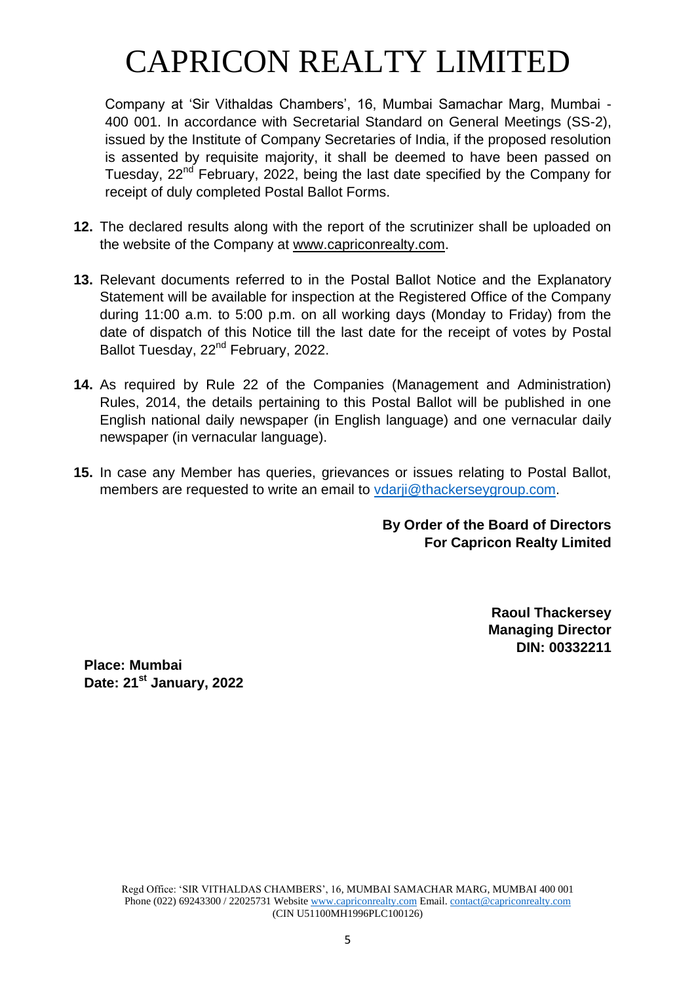Company at "Sir Vithaldas Chambers", 16, Mumbai Samachar Marg, Mumbai - 400 001. In accordance with Secretarial Standard on General Meetings (SS-2), issued by the Institute of Company Secretaries of India, if the proposed resolution is assented by requisite majority, it shall be deemed to have been passed on Tuesday, 22<sup>nd</sup> February, 2022, being the last date specified by the Company for receipt of duly completed Postal Ballot Forms.

- **12.** The declared results along with the report of the scrutinizer shall be uploaded on the website of the Company at [www.capriconrealty.com.](http://www.capriconrealty.com/)
- **13.** Relevant documents referred to in the Postal Ballot Notice and the Explanatory Statement will be available for inspection at the Registered Office of the Company during 11:00 a.m. to 5:00 p.m. on all working days (Monday to Friday) from the date of dispatch of this Notice till the last date for the receipt of votes by Postal Ballot Tuesday, 22<sup>nd</sup> February, 2022.
- **14.** As required by Rule 22 of the Companies (Management and Administration) Rules, 2014, the details pertaining to this Postal Ballot will be published in one English national daily newspaper (in English language) and one vernacular daily newspaper (in vernacular language).
- **15.** In case any Member has queries, grievances or issues relating to Postal Ballot, members are requested to write an email to [vdarji@thackerseygroup.com.](mailto:vdarji@thackerseygroup.com)

**By Order of the Board of Directors For Capricon Realty Limited**

> **Raoul Thackersey Managing Director DIN: 00332211**

**Place: Mumbai Date: 21st January, 2022**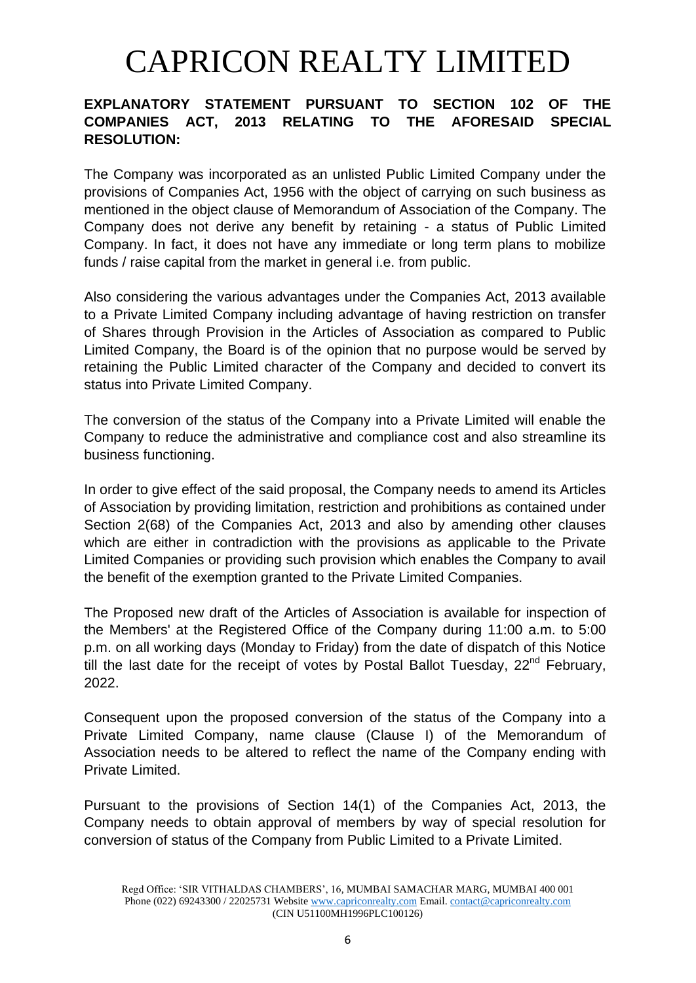### **EXPLANATORY STATEMENT PURSUANT TO SECTION 102 OF THE COMPANIES ACT, 2013 RELATING TO THE AFORESAID SPECIAL RESOLUTION:**

The Company was incorporated as an unlisted Public Limited Company under the provisions of Companies Act, 1956 with the object of carrying on such business as mentioned in the object clause of Memorandum of Association of the Company. The Company does not derive any benefit by retaining - a status of Public Limited Company. In fact, it does not have any immediate or long term plans to mobilize funds / raise capital from the market in general i.e. from public.

Also considering the various advantages under the Companies Act, 2013 available to a Private Limited Company including advantage of having restriction on transfer of Shares through Provision in the Articles of Association as compared to Public Limited Company, the Board is of the opinion that no purpose would be served by retaining the Public Limited character of the Company and decided to convert its status into Private Limited Company.

The conversion of the status of the Company into a Private Limited will enable the Company to reduce the administrative and compliance cost and also streamline its business functioning.

In order to give effect of the said proposal, the Company needs to amend its Articles of Association by providing limitation, restriction and prohibitions as contained under Section 2(68) of the Companies Act, 2013 and also by amending other clauses which are either in contradiction with the provisions as applicable to the Private Limited Companies or providing such provision which enables the Company to avail the benefit of the exemption granted to the Private Limited Companies.

The Proposed new draft of the Articles of Association is available for inspection of the Members' at the Registered Office of the Company during 11:00 a.m. to 5:00 p.m. on all working days (Monday to Friday) from the date of dispatch of this Notice till the last date for the receipt of votes by Postal Ballot Tuesday,  $22^{nd}$  February, 2022.

Consequent upon the proposed conversion of the status of the Company into a Private Limited Company, name clause (Clause I) of the Memorandum of Association needs to be altered to reflect the name of the Company ending with Private Limited.

Pursuant to the provisions of Section 14(1) of the Companies Act, 2013, the Company needs to obtain approval of members by way of special resolution for conversion of status of the Company from Public Limited to a Private Limited.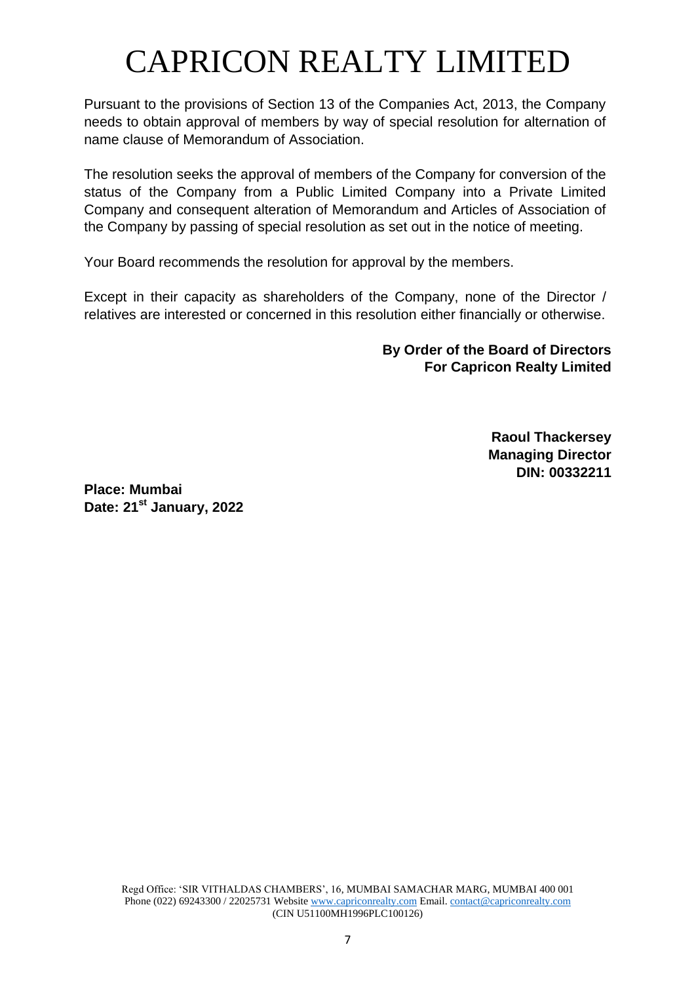Pursuant to the provisions of Section 13 of the Companies Act, 2013, the Company needs to obtain approval of members by way of special resolution for alternation of name clause of Memorandum of Association.

The resolution seeks the approval of members of the Company for conversion of the status of the Company from a Public Limited Company into a Private Limited Company and consequent alteration of Memorandum and Articles of Association of the Company by passing of special resolution as set out in the notice of meeting.

Your Board recommends the resolution for approval by the members.

Except in their capacity as shareholders of the Company, none of the Director / relatives are interested or concerned in this resolution either financially or otherwise.

> **By Order of the Board of Directors For Capricon Realty Limited**

> > **Raoul Thackersey Managing Director DIN: 00332211**

**Place: Mumbai Date: 21st January, 2022**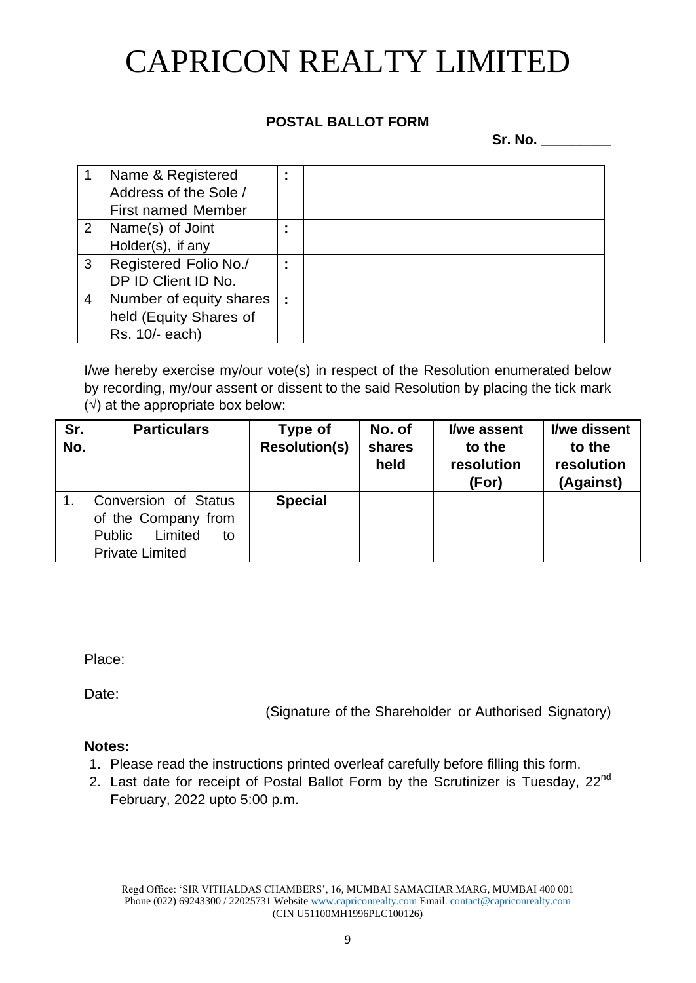### **POSTAL BALLOT FORM**

**Sr. No. \_\_\_\_\_\_\_\_\_**

|   | Name & Registered         |  |
|---|---------------------------|--|
|   | Address of the Sole /     |  |
|   | <b>First named Member</b> |  |
| 2 | Name(s) of Joint          |  |
|   | Holder(s), if any         |  |
| 3 | Registered Folio No./     |  |
|   | DP ID Client ID No.       |  |
| 4 | Number of equity shares   |  |
|   | held (Equity Shares of    |  |
|   | Rs. 10/- each)            |  |

I/we hereby exercise my/our vote(s) in respect of the Resolution enumerated below by recording, my/our assent or dissent to the said Resolution by placing the tick mark  $(\sqrt{2})$  at the appropriate box below:

| Sr.<br>No. | <b>Particulars</b>                                                                               | Type of<br><b>Resolution(s)</b> | No. of<br>shares<br>held | I/we assent<br>to the<br>resolution<br>(For) | I/we dissent<br>to the<br>resolution<br>(Against) |
|------------|--------------------------------------------------------------------------------------------------|---------------------------------|--------------------------|----------------------------------------------|---------------------------------------------------|
|            | Conversion of Status<br>of the Company from<br>Limited<br>Public<br>to<br><b>Private Limited</b> | <b>Special</b>                  |                          |                                              |                                                   |

Place:

Date:

(Signature of the Shareholder or Authorised Signatory)

### **Notes:**

- 1. Please read the instructions printed overleaf carefully before filling this form.
- 2. Last date for receipt of Postal Ballot Form by the Scrutinizer is Tuesday, 22<sup>nd</sup> February, 2022 upto 5:00 p.m.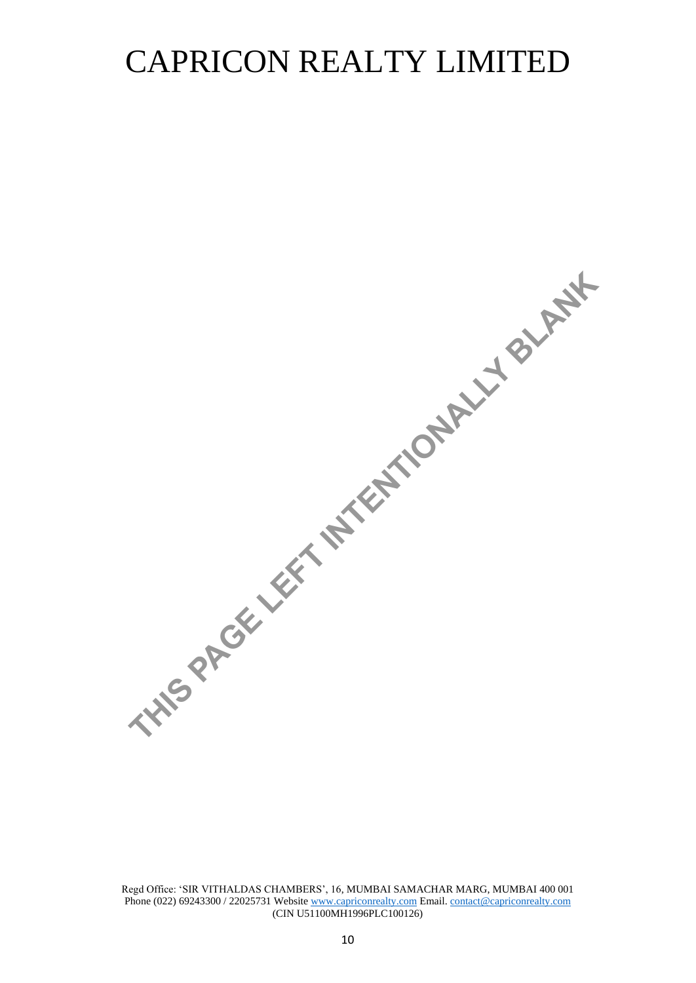THIS PAGE LEFT INTENTIONALLY BLANK

Regd Office: 'SIR VITHALDAS CHAMBERS', 16, MUMBAI SAMACHAR MARG, MUMBAI 400 001 Phone (022) 69243300 / 22025731 Website www.capriconrealty.com Email. contact@capriconrealty.com (CIN U51100MH1996PLC100126)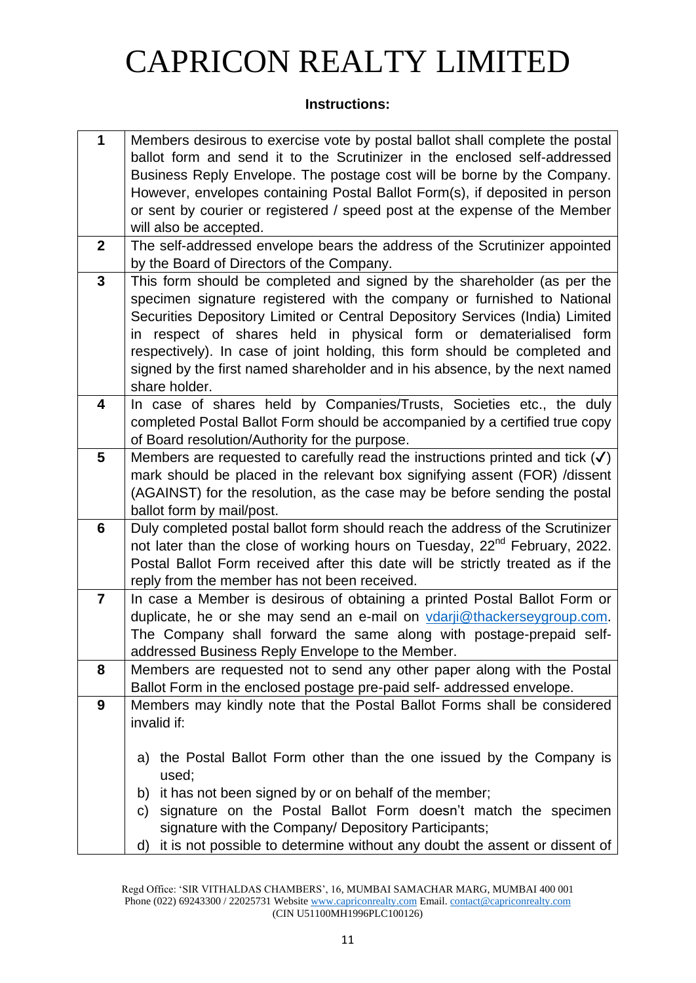### **Instructions:**

| $\mathbf{1}$     | Members desirous to exercise vote by postal ballot shall complete the postal                                                                       |  |  |  |
|------------------|----------------------------------------------------------------------------------------------------------------------------------------------------|--|--|--|
|                  | ballot form and send it to the Scrutinizer in the enclosed self-addressed                                                                          |  |  |  |
|                  | Business Reply Envelope. The postage cost will be borne by the Company.                                                                            |  |  |  |
|                  | However, envelopes containing Postal Ballot Form(s), if deposited in person                                                                        |  |  |  |
|                  | or sent by courier or registered / speed post at the expense of the Member                                                                         |  |  |  |
|                  | will also be accepted.                                                                                                                             |  |  |  |
| $\boldsymbol{2}$ | The self-addressed envelope bears the address of the Scrutinizer appointed                                                                         |  |  |  |
|                  | by the Board of Directors of the Company.                                                                                                          |  |  |  |
| 3                | This form should be completed and signed by the shareholder (as per the                                                                            |  |  |  |
|                  | specimen signature registered with the company or furnished to National                                                                            |  |  |  |
|                  | Securities Depository Limited or Central Depository Services (India) Limited                                                                       |  |  |  |
|                  | in respect of shares held in physical form or dematerialised form                                                                                  |  |  |  |
|                  | respectively). In case of joint holding, this form should be completed and                                                                         |  |  |  |
|                  | signed by the first named shareholder and in his absence, by the next named<br>share holder.                                                       |  |  |  |
| 4                | In case of shares held by Companies/Trusts, Societies etc., the duly                                                                               |  |  |  |
|                  | completed Postal Ballot Form should be accompanied by a certified true copy                                                                        |  |  |  |
|                  | of Board resolution/Authority for the purpose.                                                                                                     |  |  |  |
| 5                | Members are requested to carefully read the instructions printed and tick $(\checkmark)$                                                           |  |  |  |
|                  | mark should be placed in the relevant box signifying assent (FOR) /dissent                                                                         |  |  |  |
|                  | (AGAINST) for the resolution, as the case may be before sending the postal                                                                         |  |  |  |
|                  | ballot form by mail/post.                                                                                                                          |  |  |  |
| 6                | Duly completed postal ballot form should reach the address of the Scrutinizer                                                                      |  |  |  |
|                  | not later than the close of working hours on Tuesday, 22 <sup>nd</sup> February, 2022.                                                             |  |  |  |
|                  | Postal Ballot Form received after this date will be strictly treated as if the                                                                     |  |  |  |
|                  | reply from the member has not been received.                                                                                                       |  |  |  |
| $\overline{7}$   | In case a Member is desirous of obtaining a printed Postal Ballot Form or                                                                          |  |  |  |
|                  | duplicate, he or she may send an e-mail on vdarji@thackerseygroup.com.                                                                             |  |  |  |
|                  | The Company shall forward the same along with postage-prepaid self-                                                                                |  |  |  |
|                  | addressed Business Reply Envelope to the Member.                                                                                                   |  |  |  |
| 8                | Members are requested not to send any other paper along with the Postal                                                                            |  |  |  |
| 9                | Ballot Form in the enclosed postage pre-paid self- addressed envelope.<br>Members may kindly note that the Postal Ballot Forms shall be considered |  |  |  |
|                  | invalid if:                                                                                                                                        |  |  |  |
|                  |                                                                                                                                                    |  |  |  |
|                  | the Postal Ballot Form other than the one issued by the Company is<br>a)                                                                           |  |  |  |
|                  | used;                                                                                                                                              |  |  |  |
|                  | b) it has not been signed by or on behalf of the member;                                                                                           |  |  |  |
|                  | signature on the Postal Ballot Form doesn't match the specimen<br>C)                                                                               |  |  |  |
|                  | signature with the Company/ Depository Participants;                                                                                               |  |  |  |
|                  | it is not possible to determine without any doubt the assent or dissent of<br>d)                                                                   |  |  |  |